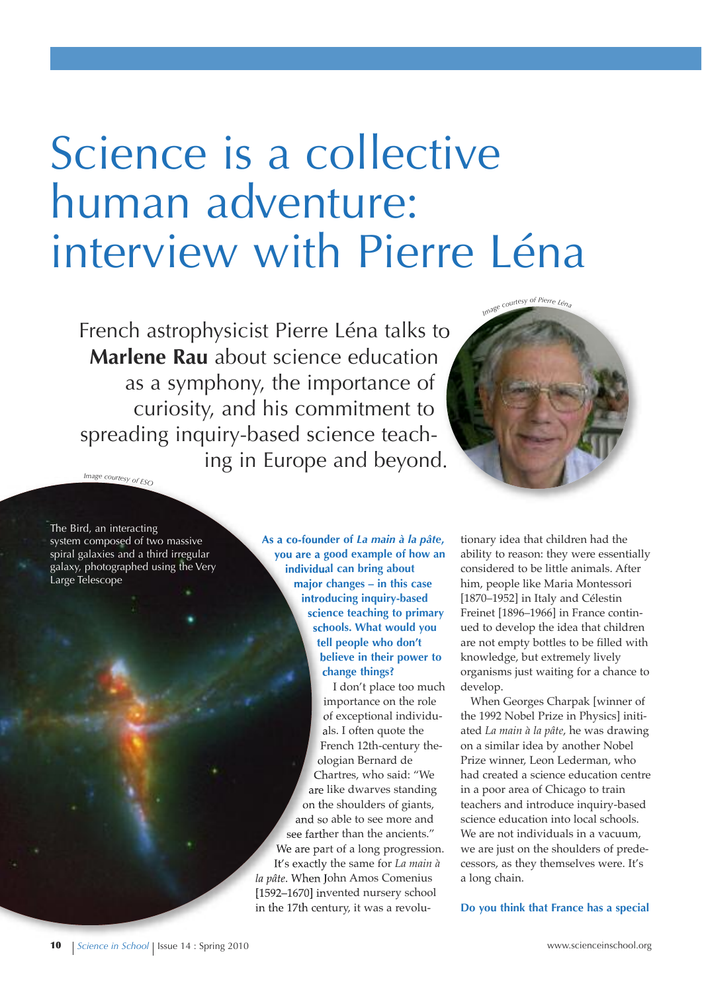# Science is a collective human adventure: interview with Pierre Léna

French astrophysicist Pierre Léna talks to **Marlene Rau** about science education as a symphony, the importance of curiosity, and his commitment to spreading inquiry-based science teaching in Europe and beyond. *<sup>I</sup>m<sup>a</sup>g<sup>e</sup> <sup>c</sup>ourte<sup>s</sup><sup>y</sup> <sup>o</sup><sup>f</sup> <sup>E</sup>S<sup>O</sup>*



The Bird, an interacting system composed of two massive spiral galaxies and a third irregular galaxy, photographed using the Very Large Telescope

**As a co-founder of** *La main à la pâte***, you are a good example of how an individual can bring about major changes – in this case introducing inquiry-based science teaching to primary schools. What would you tell people who don't believe in their power to change things?**

I don't place too much importance on the role of exceptional individuals. I often quote the French 12th-century theologian Bernard de Chartres, who said: "We are like dwarves standing on the shoulders of giants, and so able to see more and see farther than the ancients." We are part of a long progression. It's exactly the same for *La main à la pâte*. When John Amos Comenius [1592–1670] invented nursery school in the 17th century, it was a revolu-

tionary idea that children had the ability to reason: they were essentially considered to be little animals. After him, people like Maria Montessori [1870–1952] in Italy and Célestin Freinet [1896–1966] in France continued to develop the idea that children are not empty bottles to be filled with knowledge, but extremely lively organisms just waiting for a chance to develop.

When Georges Charpak [winner of the 1992 Nobel Prize in Physics] initiated *La main à la pâte*, he was drawing on a similar idea by another Nobel Prize winner, Leon Lederman, who had created a science education centre in a poor area of Chicago to train teachers and introduce inquiry-based science education into local schools. We are not individuals in a vacuum, we are just on the shoulders of predecessors, as they themselves were. It's a long chain.

**do you think that France has a special**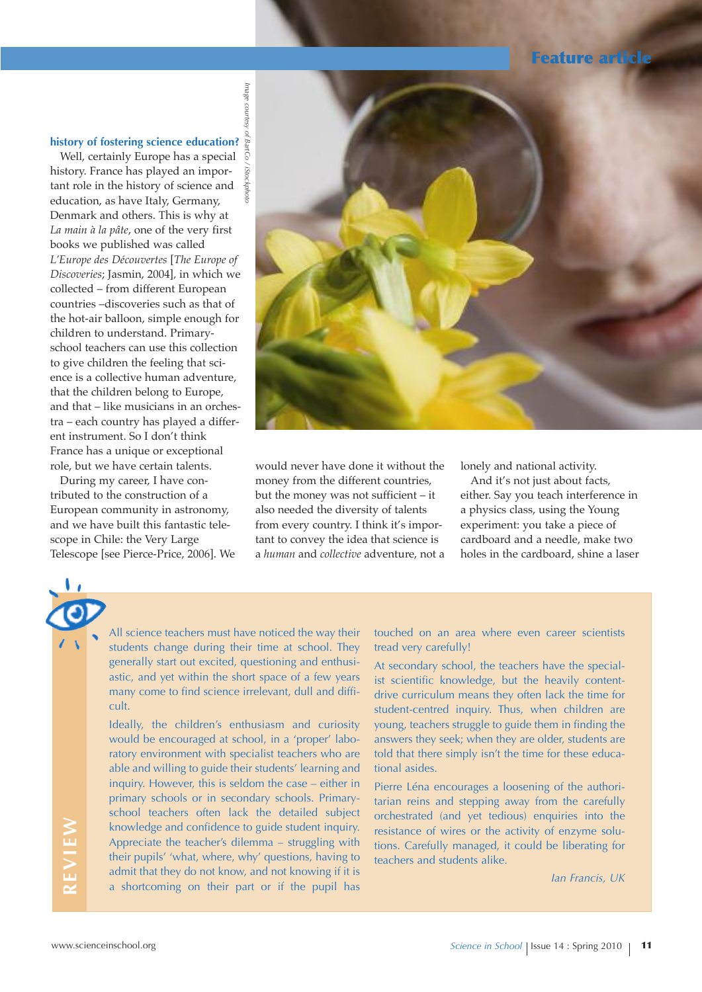# **Feature article**

## **history of fostering science education?**

Well, certainly Europe has a special history. France has played an important role in the history of science and education, as have Italy, Germany, Denmark and others. This is why at *La main à la pâte*, one of the very first books we published was called *L'Europe des Découvertes* [*The Europe of Discoveries*; Jasmin, 2004]*,* in which we collected – from different European countries –discoveries such as that of the hot-air balloon, simple enough for children to understand. Primaryschool teachers can use this collection to give children the feeling that science is a collective human adventure, that the children belong to Europe, and that – like musicians in an orchestra – each country has played a different instrument. So I don't think France has a unique or exceptional role, but we have certain talents.

During my career, I have contributed to the construction of a European community in astronomy, and we have built this fantastic telescope in Chile: the Very Large Telescope [see Pierce-Price, 2006]. We



would never have done it without the money from the different countries, but the money was not sufficient – it also needed the diversity of talents from every country. I think it's important to convey the idea that science is a *human* and *collective* adventure, not a

lonely and national activity.

And it's not just about facts, either. Say you teach interference in a physics class, using the Young experiment: you take a piece of cardboard and a needle, make two holes in the cardboard, shine a laser

All science teachers must have noticed the way their students change during their time at school. They generally start out excited, questioning and enthusiastic, and yet within the short space of a few years many come to find science irrelevant, dull and difficult.

Ideally, the children's enthusiasm and curiosity would be encouraged at school, in a 'proper' laboratory environment with specialist teachers who are able and willing to guide their students' learning and inquiry. However, this is seldom the case – either in primary schools or in secondary schools. Primaryschool teachers often lack the detailed subject knowledge and confidence to guide student inquiry. Appreciate the teacher's dilemma – struggling with their pupils' 'what, where, why' questions, having to admit that they do not know, and not knowing if it is a shortcoming on their part or if the pupil has

touched on an area where even career scientists tread very carefully!

At secondary school, the teachers have the specialist scientific knowledge, but the heavily contentdrive curriculum means they often lack the time for student-centred inquiry. Thus, when children are young, teachers struggle to guide them in finding the answers they seek; when they are older, students are told that there simply isn't the time for these educational asides.

Pierre Léna encourages a loosening of the authoritarian reins and stepping away from the carefully orchestrated (and yet tedious) enquiries into the resistance of wires or the activity of enzyme solutions. Carefully managed, it could be liberating for teachers and students alike.

*Ian Francis, UK*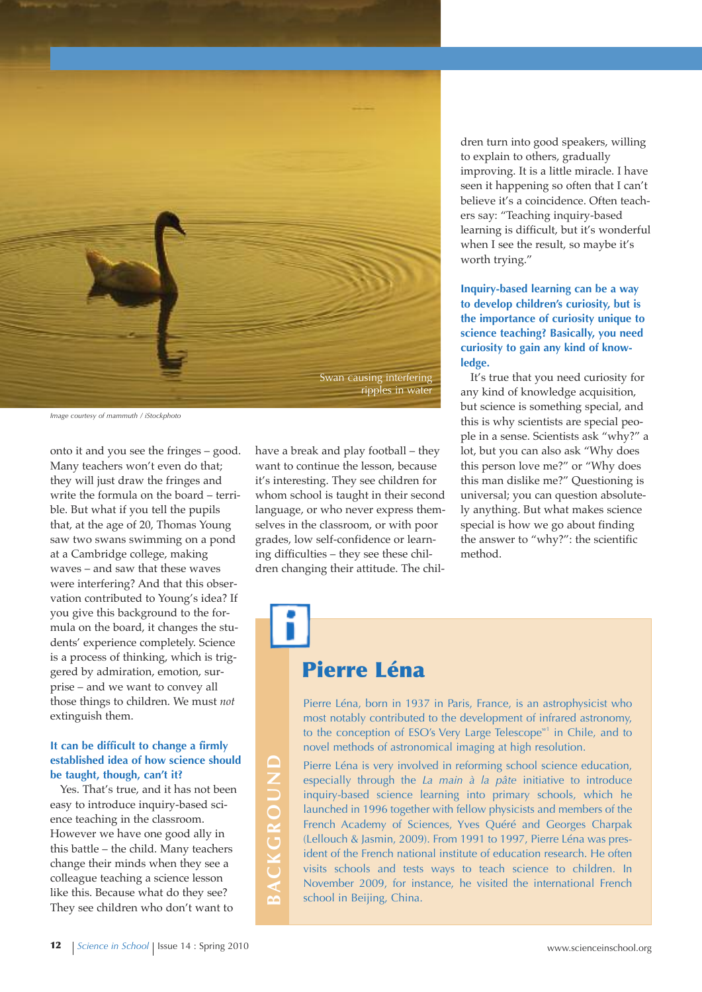

*Image courtesy of mammuth / iStockphoto*

onto it and you see the fringes – good. Many teachers won't even do that; they will just draw the fringes and write the formula on the board – terrible. But what if you tell the pupils that, at the age of 20, Thomas Young saw two swans swimming on a pond at a Cambridge college, making waves – and saw that these waves were interfering? And that this observation contributed to Young's idea? If you give this background to the formula on the board, it changes the students' experience completely. Science is a process of thinking, which is triggered by admiration, emotion, surprise – and we want to convey all those things to children. We must *not* extinguish them.

## **It can be difficult to change a firmly established idea of how science should be taught, though, can't it?**

Yes. That's true, and it has not been easy to introduce inquiry-based science teaching in the classroom. However we have one good ally in this battle – the child. Many teachers change their minds when they see a colleague teaching a science lesson like this. Because what do they see? They see children who don't want to

have a break and play football – they want to continue the lesson, because it's interesting. They see children for whom school is taught in their second language, or who never express themselves in the classroom, or with poor grades, low self-confidence or learning difficulties – they see these children changing their attitude. The chil-

## dren turn into good speakers, willing to explain to others, gradually improving. It is a little miracle. I have seen it happening so often that I can't believe it's a coincidence. Often teachers say: "Teaching inquiry-based learning is difficult, but it's wonderful when I see the result, so maybe it's worth trying."

**Inquiry-based learning can be a way to develop children's curiosity, but is the importance of curiosity unique to science teaching? Basically, you need curiosity to gain any kind of knowledge.**

It's true that you need curiosity for any kind of knowledge acquisition, but science is something special, and this is why scientists are special people in a sense. Scientists ask "why?" a lot, but you can also ask "Why does this person love me?" or "Why does this man dislike me?" Questioning is universal; you can question absolutely anything. But what makes science special is how we go about finding the answer to "why?": the scientific method.

# **Pierre Léna**

Pierre Léna, born in 1937 in Paris, France, is an astrophysicist who most notably contributed to the development of infrared astronomy, to the conception of ESO's Very Large Telescope<sup>w1</sup> in Chile, and to novel methods of astronomical imaging at high resolution.

Pierre Léna is very involved in reforming school science education, especially through the *La main à la pâte* initiative to introduce inquiry-based science learning into primary schools, which he launched in 1996 together with fellow physicists and members of the French Academy of Sciences, Yves Quéré and Georges Charpak (Lellouch & Jasmin, 2009). From 1991 to 1997, Pierre Léna was president of the French national institute of education research. He often visits schools and tests ways to teach science to children. In November 2009, for instance, he visited the international French school in Beijing, China.

**B**

**C k G R O u n d**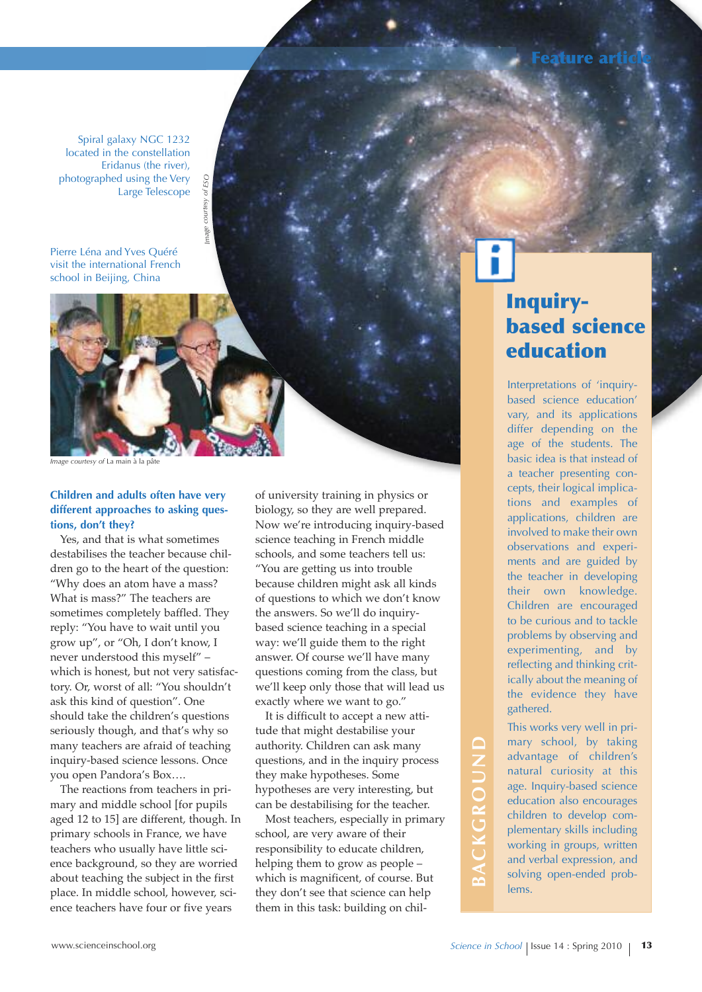Spiral galaxy NGC 1232 located in the constellation Eridanus (the river), photographed using the Very Large Telescope

Pierre Léna and Yves Quéré visit the international French school in Beijing, China



*mI age courtesy of ESO*

mage

# **Children and adults often have very different approaches to asking questions, don't they?**

Yes, and that is what sometimes destabilises the teacher because children go to the heart of the question: "Why does an atom have a mass? What is mass?" The teachers are sometimes completely baffled. They reply: "You have to wait until you grow up", or "Oh, I don't know, I never understood this myself" – which is honest, but not very satisfactory. Or, worst of all: "You shouldn't ask this kind of question". One should take the children's questions seriously though, and that's why so many teachers are afraid of teaching inquiry-based science lessons. Once you open Pandora's Box….

The reactions from teachers in primary and middle school [for pupils aged 12 to 15] are different, though. In primary schools in France, we have teachers who usually have little science background, so they are worried about teaching the subject in the first place. In middle school, however, science teachers have four or five years

of university training in physics or biology, so they are well prepared. Now we're introducing inquiry-based science teaching in French middle schools, and some teachers tell us: "You are getting us into trouble because children might ask all kinds of questions to which we don't know the answers. So we'll do inquirybased science teaching in a special way: we'll guide them to the right answer. Of course we'll have many questions coming from the class, but we'll keep only those that will lead us exactly where we want to go."

It is difficult to accept a new attitude that might destabilise your authority. Children can ask many questions, and in the inquiry process they make hypotheses. Some hypotheses are very interesting, but can be destabilising for the teacher.

Most teachers, especially in primary school, are very aware of their responsibility to educate children, helping them to grow as people – which is magnificent, of course. But they don't see that science can help them in this task: building on chil-

# **C k G R O u n d**

# **Inquirybased science education**

**Feature article**

Interpretations of 'inquirybased science education' vary, and its applications differ depending on the age of the students. The basic idea is that instead of a teacher presenting concepts, their logical implications and examples of applications, children are involved to make their own observations and experiments and are guided by the teacher in developing their own knowledge. Children are encouraged to be curious and to tackle problems by observing and experimenting, and by reflecting and thinking critically about the meaning of the evidence they have gathered.

This works very well in primary school, by taking advantage of children's natural curiosity at this age. Inquiry-based science education also encourages children to develop complementary skills including working in groups, written and verbal expression, and solving open-ended problems.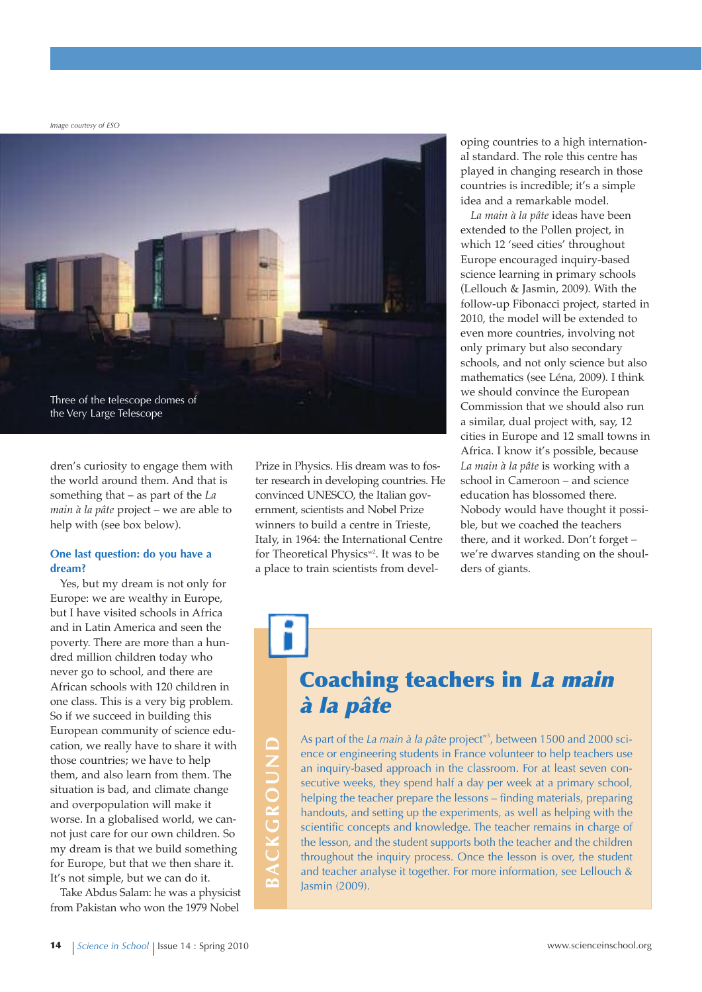*Image courtesy of ESO*



dren's curiosity to engage them with the world around them. And that is something that – as part of the *La main à la pâte* project – we are able to help with (see box below).

#### **One last question: do you have a dream?**

Yes, but my dream is not only for Europe: we are wealthy in Europe, but I have visited schools in Africa and in Latin America and seen the poverty. There are more than a hundred million children today who never go to school, and there are African schools with 120 children in one class. This is a very big problem. So if we succeed in building this European community of science education, we really have to share it with those countries; we have to help them, and also learn from them. The situation is bad, and climate change and overpopulation will make it worse. In a globalised world, we cannot just care for our own children. So my dream is that we build something for Europe, but that we then share it. It's not simple, but we can do it.

Take Abdus Salam: he was a physicist from Pakistan who won the 1979 Nobel

**B**

**C k G R O u n d**

Prize in Physics. His dream was to foster research in developing countries. He convinced UNESCO, the Italian government, scientists and Nobel Prize winners to build a centre in Trieste, Italy, in 1964: the International Centre for Theoretical Physics<sup>w2</sup>. It was to be a place to train scientists from developing countries to a high international standard. The role this centre has played in changing research in those countries is incredible; it's a simple idea and a remarkable model.

*La main à la pâte* ideas have been extended to the Pollen project, in which 12 'seed cities' throughout Europe encouraged inquiry-based science learning in primary schools (Lellouch & Jasmin, 2009). With the follow-up Fibonacci project, started in 2010, the model will be extended to even more countries, involving not only primary but also secondary schools, and not only science but also mathematics (see Léna, 2009). I think we should convince the European Commission that we should also run a similar, dual project with, say, 12 cities in Europe and 12 small towns in Africa. I know it's possible, because *La main à la pâte* is working with a school in Cameroon – and science education has blossomed there. Nobody would have thought it possible, but we coached the teachers there, and it worked. Don't forget – we're dwarves standing on the shoulders of giants.

# **Coaching teachers in La main à la pâte**

As part of the *La main à la pâte* project<sup>w3</sup>, between 1500 and 2000 science or engineering students in France volunteer to help teachers use an inquiry-based approach in the classroom. For at least seven consecutive weeks, they spend half a day per week at a primary school, helping the teacher prepare the lessons – finding materials, preparing handouts, and setting up the experiments, as well as helping with the scientific concepts and knowledge. The teacher remains in charge of the lesson, and the student supports both the teacher and the children throughout the inquiry process. Once the lesson is over, the student and teacher analyse it together. For more information, see Lellouch & Jasmin (2009).